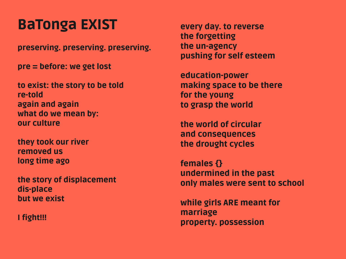# BaTonga EXIST

preserving. preserving. preserving.

pre = before: we get lost

to exist: the story to be told re-told again and again what do we mean by: our culture

they took our river removed us long time ago

the story of displacement dis-place but we exist

I fight!!!

every day. to reverse the forgetting the un-agency pushing for self esteem

education-power making space to be there for the young to grasp the world

the world of circular and consequences the drought cycles

females {} undermined in the past only males were sent to school

while girls ARE meant for marriage property. possession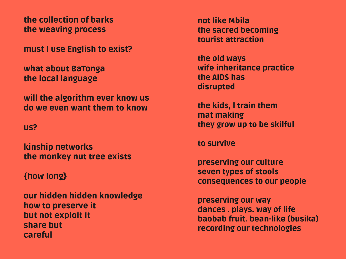the collection of barks the weaving process

must I use English to exist?

what about BaTonga the local language

will the algorithm ever know us do we even want them to know

#### us?

kinship networks the monkey nut tree exists

#### {how long}

our hidden hidden knowledge how to preserve it but not exploit it share but careful

not like Mbila the sacred becoming tourist attraction

the old ways wife inheritance practice the AIDS has disrupted

the kids, l train them mat making they grow up to be skilful

to survive

preserving our culture seven types of stools consequences to our people

preserving our way dances . plays. way of life baobab fruit. bean-like (busika) recording our technologies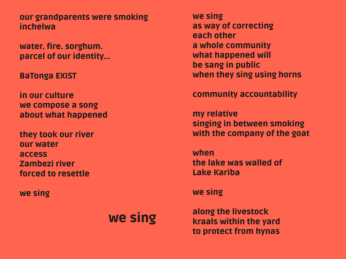our grandparents were smoking inchelwa

water. fire. sorghum. parcel of our identity...

BaTonga EXIST

in our culture we compose a song about what happened

they took our river our water access Zambezi river forced to resettle

we sing

## we sing

we sing as way of correcting each other a whole community what happened will be sang in public when they sing using horns

community accountability

my relative singing in between smoking with the company of the goat

when the lake was walled of Lake Kariba

we sing

along the livestock kraals within the yard to protect from hynas